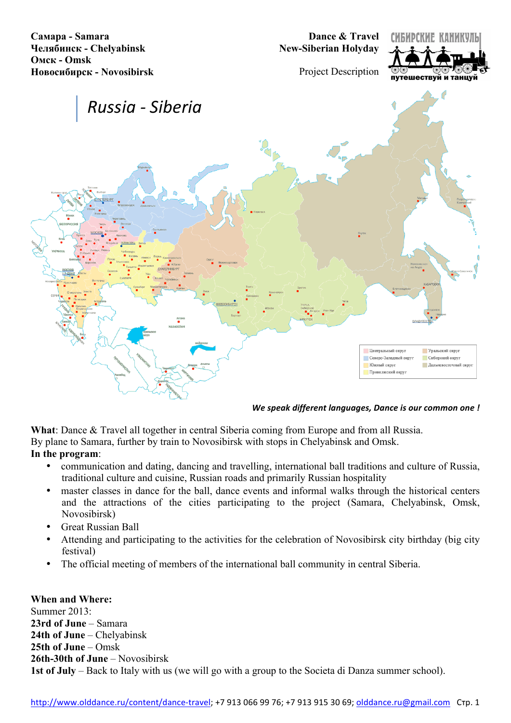**Самара - Samara Челябинск - Chelyabinsk Омск - Omsk Новосибирск - Novosibirsk**

**Dance & Travel New-Siberian Holyday**



Project Description



#### *We speak different languages, Dance is our common one !*

**What**: Dance & Travel all together in central Siberia coming from Europe and from all Russia.

By plane to Samara, further by train to Novosibirsk with stops in Chelyabinsk and Omsk.

#### **In the program**:

- communication and dating, dancing and travelling, international ball traditions and culture of Russia, traditional culture and cuisine, Russian roads and primarily Russian hospitality
- master classes in dance for the ball, dance events and informal walks through the historical centers and the attractions of the cities participating to the project (Samara, Chelyabinsk, Omsk, Novosibirsk)
- Great Russian Ball
- Attending and participating to the activities for the celebration of Novosibirsk city birthday (big city festival)
- The official meeting of members of the international ball community in central Siberia.

#### **When and Where:**

Summer 2013: **23rd of June** – Samara **24th of June** – Chelyabinsk **25th of June** – Omsk **26th-30th of June** – Novosibirsk **1st of July** – Back to Italy with us (we will go with a group to the Societa di Danza summer school).